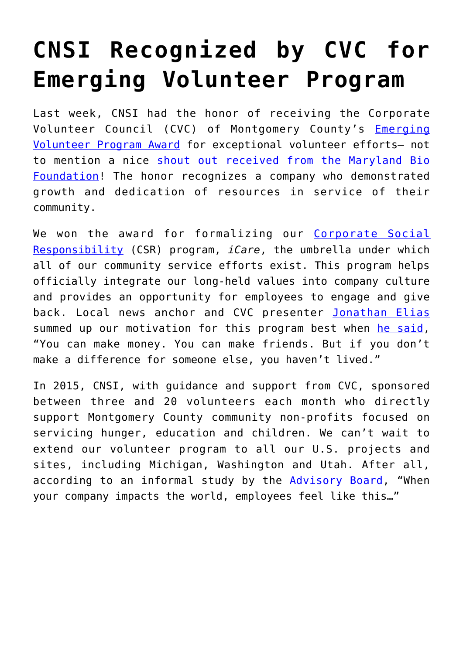## **[CNSI Recognized by CVC for](https://www.cns-inc.com/insights/thought-leadership/cnsi-recognized-by-cvc-for-emerging-volunteer-program/) [Emerging Volunteer Program](https://www.cns-inc.com/insights/thought-leadership/cnsi-recognized-by-cvc-for-emerging-volunteer-program/)**

Last week, CNSI had the honor of receiving the Corporate Volunteer Council (CVC) of Montgomery County's [Emerging](http://cvc-mc.org/Awards) [Volunteer Program Award](http://cvc-mc.org/Awards) for exceptional volunteer efforts– not to mention a nice [shout out received from the Maryland Bio](https://twitter.com/MdBioFoundation/status/655078736463843328) [Foundation](https://twitter.com/MdBioFoundation/status/655078736463843328)! The honor recognizes a company who demonstrated growth and dedication of resources in service of their community.

We won the award for formalizing our [Corporate Social](https://www.cns-inc.com/about-cnsi) [Responsibility](https://www.cns-inc.com/about-cnsi) (CSR) program, *iCare*, the umbrella under which all of our community service efforts exist. This program helps officially integrate our long-held values into company culture and provides an opportunity for employees to engage and give back. Local news anchor and CVC presenter [Jonathan Elias](https://twitter.com/EliasABC7) summed up our motivation for this program best when [he said,](https://twitter.com/CNSICorp/status/655060681767702528) "You can make money. You can make friends. But if you don't make a difference for someone else, you haven't lived."

In 2015, CNSI, with guidance and support from CVC, sponsored between three and 20 volunteers each month who directly support Montgomery County community non-profits focused on servicing hunger, education and children. We can't wait to extend our volunteer program to all our U.S. projects and sites, including Michigan, Washington and Utah. After all, according to an informal study by the [Advisory Board,](https://twitter.com/CNSICorp/status/655072664428658688) "When your company impacts the world, employees feel like this…"